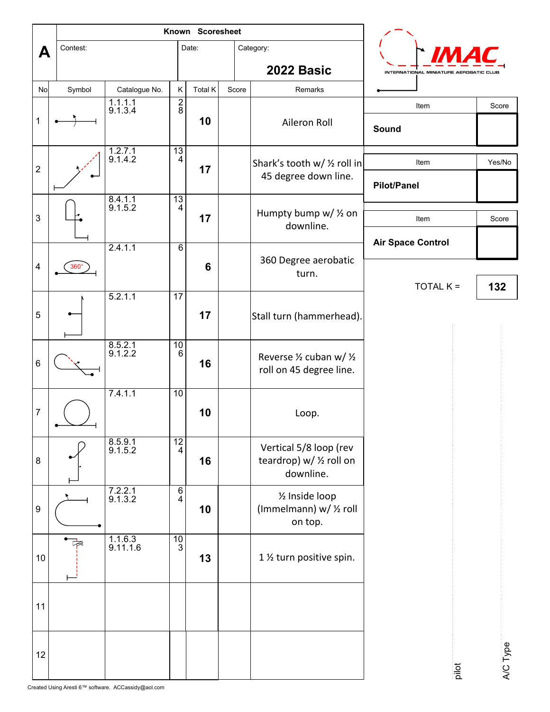|                  |                         | Known Scoresheet           |                     |         |       |                                                                 |                                        |       |          |
|------------------|-------------------------|----------------------------|---------------------|---------|-------|-----------------------------------------------------------------|----------------------------------------|-------|----------|
| A                | Contest:                |                            |                     | Date:   |       | Category:                                                       |                                        |       |          |
|                  |                         |                            |                     |         |       | 2022 Basic                                                      | INTERNATIONAL MINIATURE AEROBATIC CLUE |       |          |
| No               | Symbol                  | Catalogue No.              | $\sf K$             | Total K | Score | Remarks                                                         |                                        |       |          |
| 1                |                         | $\frac{1.1.1.1}{9.1.3.4}$  | $rac{2}{8}$         | 10      |       | Aileron Roll                                                    | Item<br>Sound                          |       | Score    |
| $\sqrt{2}$       |                         | $\frac{1.2.7.1}{9.1.4.2}$  | $\frac{13}{4}$      | 17      |       | Shark's tooth w/ 1/2 roll in<br>45 degree down line.            | Item                                   |       | Yes/No   |
| $\mathbf{3}$     |                         | $8.4.1.1$<br>9.1.5.2       | $\frac{13}{4}$      | 17      |       | Humpty bump w/ 1/2 on                                           | <b>Pilot/Panel</b><br>Item             |       | Score    |
|                  |                         |                            |                     |         |       | downline.                                                       | <b>Air Space Control</b>               |       |          |
| $\overline{4}$   |                         | 2.4.1.1                    | $\,6$               | 6       |       | 360 Degree aerobatic<br>turn.                                   |                                        |       |          |
|                  | $360^\circ$             |                            |                     |         |       |                                                                 | TOTAL K =                              |       | 132      |
| $\sqrt{5}$       |                         | 5.2.1.1                    | 17                  | 17      |       | Stall turn (hammerhead).                                        |                                        |       |          |
| $\,6\,$          |                         | $8.5.2.1$<br>9.1.2.2       | $\frac{10}{6}$      | 16      |       | Reverse 1/2 cuban w/ 1/2<br>roll on 45 degree line.             |                                        |       |          |
| $\overline{7}$   |                         | 7.4.1.1                    | 10                  | 10      |       | Loop.                                                           |                                        |       |          |
| $\bf 8$          |                         | $8.5.9.1$<br>9.1.5.2       | $\frac{12}{4}$      | 16      |       | Vertical 5/8 loop (rev<br>teardrop) w/ 1/2 roll on<br>downline. |                                        |       |          |
| $\boldsymbol{9}$ |                         | $7.2.2.1$<br>9.1.3.2       | $\overline{6}$<br>4 | 10      |       | 1/2 Inside loop<br>(Immelmann) w/ 1/2 roll<br>on top.           |                                        |       |          |
| $10\,$           | $\overline{\mathbb{R}}$ | $\frac{1.1.6.3}{9.11.1.6}$ | $\frac{10}{3}$      | 13      |       | 1 1/2 turn positive spin.                                       |                                        |       |          |
| 11               |                         |                            |                     |         |       |                                                                 |                                        |       |          |
| $12$             |                         |                            |                     |         |       |                                                                 |                                        | pilot | A/C Type |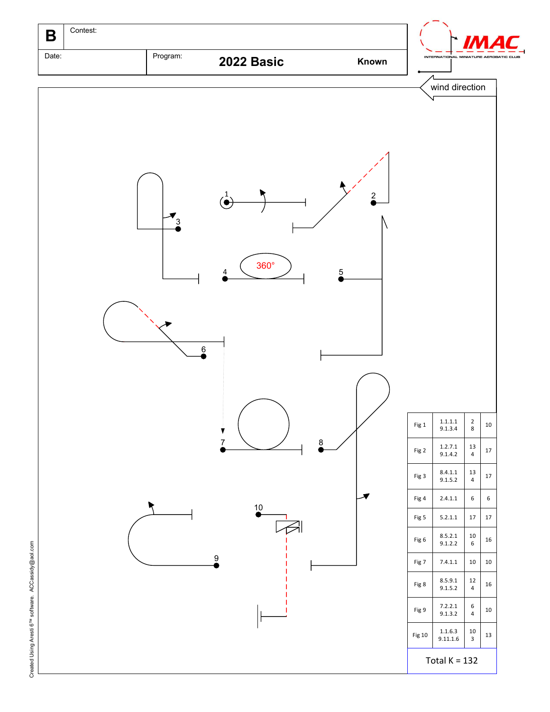